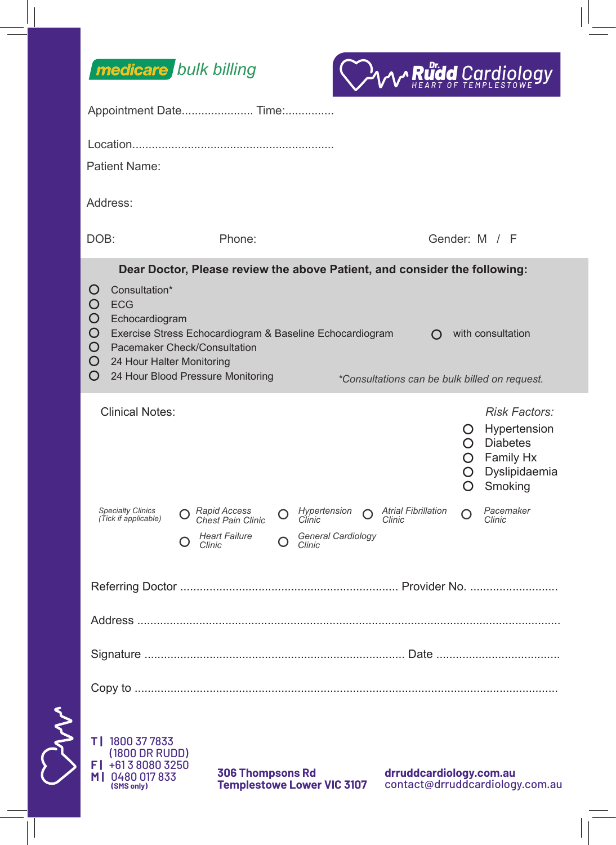



|    |                                                                                                                                                                                                                                                                                                                                                                                                                             | Appointment Date Time:                                                                                                                                   |                                                                                                                                                                                         |
|----|-----------------------------------------------------------------------------------------------------------------------------------------------------------------------------------------------------------------------------------------------------------------------------------------------------------------------------------------------------------------------------------------------------------------------------|----------------------------------------------------------------------------------------------------------------------------------------------------------|-----------------------------------------------------------------------------------------------------------------------------------------------------------------------------------------|
|    | Patient Name:                                                                                                                                                                                                                                                                                                                                                                                                               |                                                                                                                                                          |                                                                                                                                                                                         |
|    | Address:                                                                                                                                                                                                                                                                                                                                                                                                                    |                                                                                                                                                          |                                                                                                                                                                                         |
|    | DOB:                                                                                                                                                                                                                                                                                                                                                                                                                        | Phone:                                                                                                                                                   | Gender: M / F                                                                                                                                                                           |
|    | Dear Doctor, Please review the above Patient, and consider the following:<br>Consultation*<br>$\Omega$<br><b>ECG</b><br>O<br>O<br>Echocardiogram<br>O<br>Exercise Stress Echocardiogram & Baseline Echocardiogram<br>with consultation<br>$\Omega$<br><b>Pacemaker Check/Consultation</b><br>O<br>24 Hour Halter Monitoring<br>O<br>O<br>24 Hour Blood Pressure Monitoring<br>*Consultations can be bulk billed on request. |                                                                                                                                                          |                                                                                                                                                                                         |
|    | <b>Clinical Notes:</b><br>Specialty Clinics<br>(Tick if applicable)                                                                                                                                                                                                                                                                                                                                                         | Hypertension<br>$\bigcap$ Rapid Access<br>$\Omega$<br>∩<br>Chest Pain Clinic<br>Clinic<br>Heart Failure<br>General Cardiology<br>$\cup$ Clinic<br>Clinic | <b>Risk Factors:</b><br>O Hypertension<br>$O$ Diabetes<br>O Family Hx<br>Dyslipidaemia<br>O.<br>Smoking<br>$\Omega$<br>Pacemaker<br><b>Atrial Fibrillation</b><br>∩<br>Clinic<br>Clinic |
|    |                                                                                                                                                                                                                                                                                                                                                                                                                             |                                                                                                                                                          |                                                                                                                                                                                         |
|    |                                                                                                                                                                                                                                                                                                                                                                                                                             |                                                                                                                                                          |                                                                                                                                                                                         |
|    |                                                                                                                                                                                                                                                                                                                                                                                                                             |                                                                                                                                                          |                                                                                                                                                                                         |
|    |                                                                                                                                                                                                                                                                                                                                                                                                                             |                                                                                                                                                          |                                                                                                                                                                                         |
| NY | T   1800 37 7833<br>(1800 DR RUDD)<br>F   +61 3 8080 3250<br>M   0480 017 833<br>(SMS only)                                                                                                                                                                                                                                                                                                                                 | <b>306 Thompsons Rd</b><br><b>Templestowe Lower VIC 3107</b>                                                                                             | drruddcardiology.com.au<br>contact@drruddcardiology.com.au                                                                                                                              |